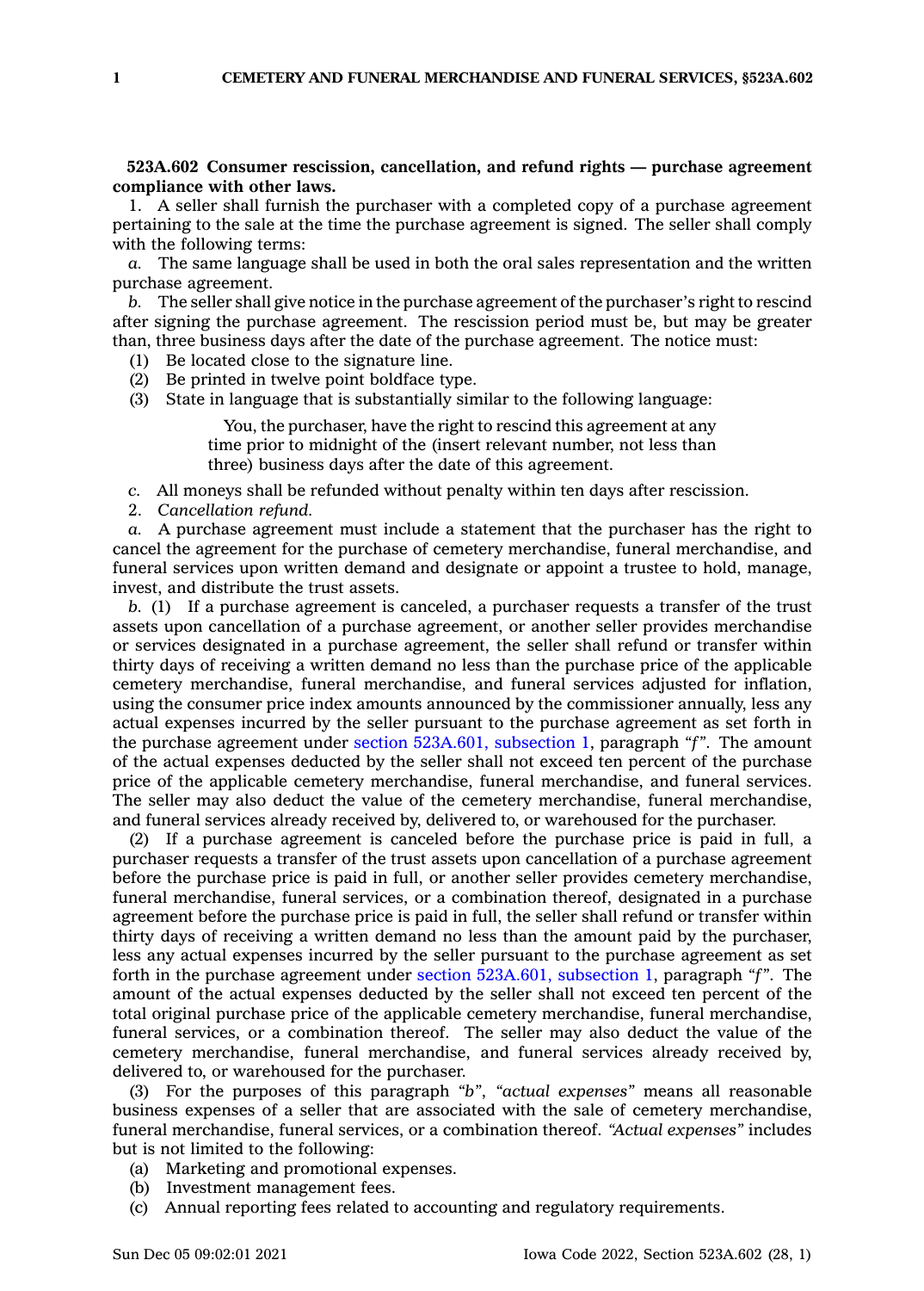## **523A.602 Consumer rescission, cancellation, and refund rights — purchase agreement compliance with other laws.**

1. A seller shall furnish the purchaser with <sup>a</sup> completed copy of <sup>a</sup> purchase agreement pertaining to the sale at the time the purchase agreement is signed. The seller shall comply with the following terms:

*a.* The same language shall be used in both the oral sales representation and the written purchase agreement.

*b.* The seller shall give notice in the purchase agreement of the purchaser's right to rescind after signing the purchase agreement. The rescission period must be, but may be greater than, three business days after the date of the purchase agreement. The notice must:

- (1) Be located close to the signature line.
- (2) Be printed in twelve point boldface type.
- (3) State in language that is substantially similar to the following language:

You, the purchaser, have the right to rescind this agreement at any time prior to midnight of the (insert relevant number, not less than three) business days after the date of this agreement.

*c.* All moneys shall be refunded without penalty within ten days after rescission.

2. *Cancellation refund.*

*a.* A purchase agreement must include <sup>a</sup> statement that the purchaser has the right to cancel the agreement for the purchase of cemetery merchandise, funeral merchandise, and funeral services upon written demand and designate or appoint <sup>a</sup> trustee to hold, manage, invest, and distribute the trust assets.

*b.* (1) If <sup>a</sup> purchase agreement is canceled, <sup>a</sup> purchaser requests <sup>a</sup> transfer of the trust assets upon cancellation of <sup>a</sup> purchase agreement, or another seller provides merchandise or services designated in <sup>a</sup> purchase agreement, the seller shall refund or transfer within thirty days of receiving <sup>a</sup> written demand no less than the purchase price of the applicable cemetery merchandise, funeral merchandise, and funeral services adjusted for inflation, using the consumer price index amounts announced by the commissioner annually, less any actual expenses incurred by the seller pursuant to the purchase agreement as set forth in the purchase agreement under section [523A.601,](https://www.legis.iowa.gov/docs/code/523A.601.pdf) subsection 1, paragraph *"f"*. The amount of the actual expenses deducted by the seller shall not exceed ten percent of the purchase price of the applicable cemetery merchandise, funeral merchandise, and funeral services. The seller may also deduct the value of the cemetery merchandise, funeral merchandise, and funeral services already received by, delivered to, or warehoused for the purchaser.

(2) If <sup>a</sup> purchase agreement is canceled before the purchase price is paid in full, <sup>a</sup> purchaser requests <sup>a</sup> transfer of the trust assets upon cancellation of <sup>a</sup> purchase agreement before the purchase price is paid in full, or another seller provides cemetery merchandise, funeral merchandise, funeral services, or <sup>a</sup> combination thereof, designated in <sup>a</sup> purchase agreement before the purchase price is paid in full, the seller shall refund or transfer within thirty days of receiving <sup>a</sup> written demand no less than the amount paid by the purchaser, less any actual expenses incurred by the seller pursuant to the purchase agreement as set forth in the purchase agreement under section [523A.601,](https://www.legis.iowa.gov/docs/code/523A.601.pdf) subsection 1, paragraph *"f"*. The amount of the actual expenses deducted by the seller shall not exceed ten percent of the total original purchase price of the applicable cemetery merchandise, funeral merchandise, funeral services, or <sup>a</sup> combination thereof. The seller may also deduct the value of the cemetery merchandise, funeral merchandise, and funeral services already received by, delivered to, or warehoused for the purchaser.

(3) For the purposes of this paragraph *"b"*, *"actual expenses"* means all reasonable business expenses of <sup>a</sup> seller that are associated with the sale of cemetery merchandise, funeral merchandise, funeral services, or <sup>a</sup> combination thereof. *"Actual expenses"* includes but is not limited to the following:

- (a) Marketing and promotional expenses.
- (b) Investment management fees.
- (c) Annual reporting fees related to accounting and regulatory requirements.